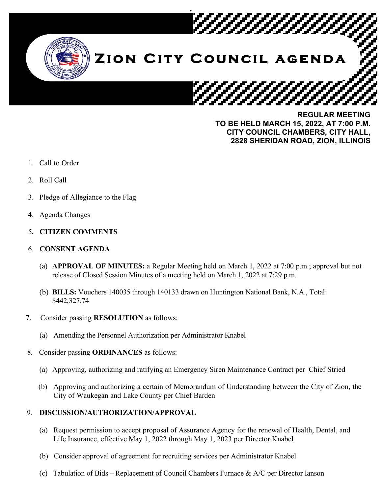

**REGULAR MEETING TO BE HELD MARCH 15, 2022, AT 7:00 P.M. CITY COUNCIL CHAMBERS, CITY HALL, 2828 SHERIDAN ROAD, ZION, ILLINOIS**

- 1. Call to Order
- 2. Roll Call
- 3. Pledge of Allegiance to the Flag
- 4. Agenda Changes
- 5**. CITIZEN COMMENTS**
- 6. **CONSENT AGENDA**
	- (a) **APPROVAL OF MINUTES:** a Regular Meeting held on March 1, 2022 at 7:00 p.m.; approval but not release of Closed Session Minutes of a meeting held on March 1, 2022 at 7:29 p.m.
	- (b) **BILLS:** Vouchers 140035 through 140133 drawn on Huntington National Bank, N.A., Total: \$442,327.74
- 7. Consider passing **RESOLUTION** as follows:
	- (a) Amending the Personnel Authorization per Administrator Knabel
- 8. Consider passing **ORDINANCES** as follows:
	- (a) Approving, authorizing and ratifying an Emergency Siren Maintenance Contract per Chief Stried
	- (b) Approving and authorizing a certain of Memorandum of Understanding between the City of Zion, the City of Waukegan and Lake County per Chief Barden

## 9. **DISCUSSION/AUTHORIZATION/APPROVAL**

- (a) Request permission to accept proposal of Assurance Agency for the renewal of Health, Dental, and Life Insurance, effective May 1, 2022 through May 1, 2023 per Director Knabel
- (b) Consider approval of agreement for recruiting services per Administrator Knabel
- (c) Tabulation of Bids Replacement of Council Chambers Furnace & A/C per Director Ianson